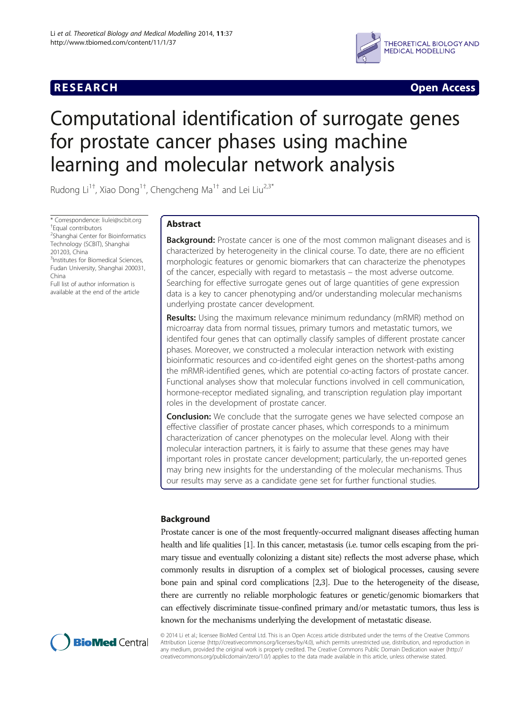# **RESEARCH CHINESE ARCH CHINESE ARCH CHINESE ARCH <b>CHINESE ARCH**



# Computational identification of surrogate genes for prostate cancer phases using machine learning and molecular network analysis

Rudong Li<sup>1†</sup>, Xiao Dong<sup>1†</sup>, Chengcheng Ma<sup>1†</sup> and Lei Liu<sup>2,3\*</sup>

\* Correspondence: [liulei@scbit.org](mailto:liulei@scbit.org) † Equal contributors

<sup>2</sup>Shanghai Center for Bioinformatics Technology (SCBIT), Shanghai 201203, China

<sup>3</sup>Institutes for Biomedical Sciences, Fudan University, Shanghai 200031, China

Full list of author information is available at the end of the article

# Abstract

**Background:** Prostate cancer is one of the most common malignant diseases and is characterized by heterogeneity in the clinical course. To date, there are no efficient morphologic features or genomic biomarkers that can characterize the phenotypes of the cancer, especially with regard to metastasis – the most adverse outcome. Searching for effective surrogate genes out of large quantities of gene expression data is a key to cancer phenotyping and/or understanding molecular mechanisms underlying prostate cancer development.

**Results:** Using the maximum relevance minimum redundancy (mRMR) method on microarray data from normal tissues, primary tumors and metastatic tumors, we identifed four genes that can optimally classify samples of different prostate cancer phases. Moreover, we constructed a molecular interaction network with existing bioinformatic resources and co-identifed eight genes on the shortest-paths among the mRMR-identified genes, which are potential co-acting factors of prostate cancer. Functional analyses show that molecular functions involved in cell communication, hormone-receptor mediated signaling, and transcription regulation play important roles in the development of prostate cancer.

**Conclusion:** We conclude that the surrogate genes we have selected compose an effective classifier of prostate cancer phases, which corresponds to a minimum characterization of cancer phenotypes on the molecular level. Along with their molecular interaction partners, it is fairly to assume that these genes may have important roles in prostate cancer development; particularly, the un-reported genes may bring new insights for the understanding of the molecular mechanisms. Thus our results may serve as a candidate gene set for further functional studies.

# Background

Prostate cancer is one of the most frequently-occurred malignant diseases affecting human health and life qualities [[1](#page-10-0)]. In this cancer, metastasis (i.e. tumor cells escaping from the primary tissue and eventually colonizing a distant site) reflects the most adverse phase, which commonly results in disruption of a complex set of biological processes, causing severe bone pain and spinal cord complications [\[2,3\]](#page-10-0). Due to the heterogeneity of the disease, there are currently no reliable morphologic features or genetic/genomic biomarkers that can effectively discriminate tissue-confined primary and/or metastatic tumors, thus less is known for the mechanisms underlying the development of metastatic disease.



© 2014 Li et al.; licensee BioMed Central Ltd. This is an Open Access article distributed under the terms of the Creative Commons Attribution License (<http://creativecommons.org/licenses/by/4.0>), which permits unrestricted use, distribution, and reproduction in any medium, provided the original work is properly credited. The Creative Commons Public Domain Dedication waiver [\(http://](http://creativecommons.org/publicdomain/zero/1.0/) [creativecommons.org/publicdomain/zero/1.0/\)](http://creativecommons.org/publicdomain/zero/1.0/) applies to the data made available in this article, unless otherwise stated.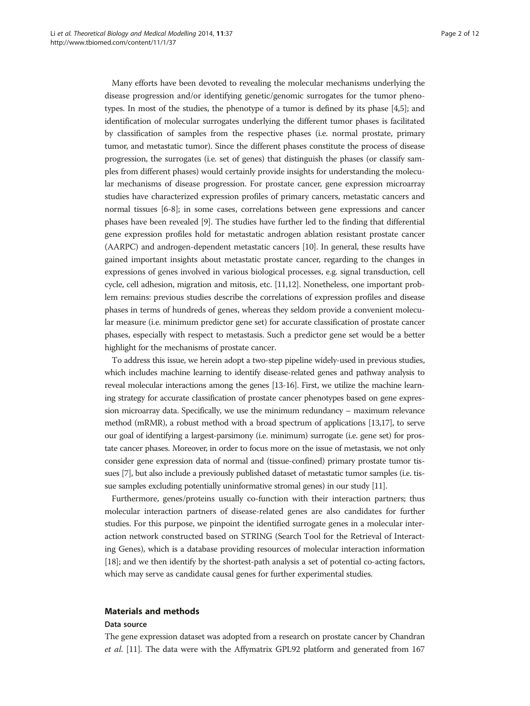Many efforts have been devoted to revealing the molecular mechanisms underlying the disease progression and/or identifying genetic/genomic surrogates for the tumor phenotypes. In most of the studies, the phenotype of a tumor is defined by its phase [[4](#page-10-0),[5](#page-10-0)]; and identification of molecular surrogates underlying the different tumor phases is facilitated by classification of samples from the respective phases (i.e. normal prostate, primary tumor, and metastatic tumor). Since the different phases constitute the process of disease progression, the surrogates (i.e. set of genes) that distinguish the phases (or classify samples from different phases) would certainly provide insights for understanding the molecular mechanisms of disease progression. For prostate cancer, gene expression microarray studies have characterized expression profiles of primary cancers, metastatic cancers and normal tissues [\[6-8](#page-10-0)]; in some cases, correlations between gene expressions and cancer phases have been revealed [\[9\]](#page-10-0). The studies have further led to the finding that differential gene expression profiles hold for metastatic androgen ablation resistant prostate cancer (AARPC) and androgen-dependent metastatic cancers [[10](#page-10-0)]. In general, these results have gained important insights about metastatic prostate cancer, regarding to the changes in expressions of genes involved in various biological processes, e.g. signal transduction, cell cycle, cell adhesion, migration and mitosis, etc. [[11,12](#page-10-0)]. Nonetheless, one important problem remains: previous studies describe the correlations of expression profiles and disease phases in terms of hundreds of genes, whereas they seldom provide a convenient molecular measure (i.e. minimum predictor gene set) for accurate classification of prostate cancer phases, especially with respect to metastasis. Such a predictor gene set would be a better highlight for the mechanisms of prostate cancer.

To address this issue, we herein adopt a two-step pipeline widely-used in previous studies, which includes machine learning to identify disease-related genes and pathway analysis to reveal molecular interactions among the genes [[13-16\]](#page-10-0). First, we utilize the machine learning strategy for accurate classification of prostate cancer phenotypes based on gene expression microarray data. Specifically, we use the minimum redundancy – maximum relevance method (mRMR), a robust method with a broad spectrum of applications [\[13,17](#page-10-0)], to serve our goal of identifying a largest-parsimony (i.e. minimum) surrogate (i.e. gene set) for prostate cancer phases. Moreover, in order to focus more on the issue of metastasis, we not only consider gene expression data of normal and (tissue-confined) primary prostate tumor tissues [[7](#page-10-0)], but also include a previously published dataset of metastatic tumor samples (i.e. tissue samples excluding potentially uninformative stromal genes) in our study [\[11](#page-10-0)].

Furthermore, genes/proteins usually co-function with their interaction partners; thus molecular interaction partners of disease-related genes are also candidates for further studies. For this purpose, we pinpoint the identified surrogate genes in a molecular interaction network constructed based on STRING (Search Tool for the Retrieval of Interacting Genes), which is a database providing resources of molecular interaction information [[18](#page-10-0)]; and we then identify by the shortest-path analysis a set of potential co-acting factors, which may serve as candidate causal genes for further experimental studies.

#### Materials and methods

#### Data source

The gene expression dataset was adopted from a research on prostate cancer by Chandran et al. [\[11\]](#page-10-0). The data were with the Affymatrix GPL92 platform and generated from 167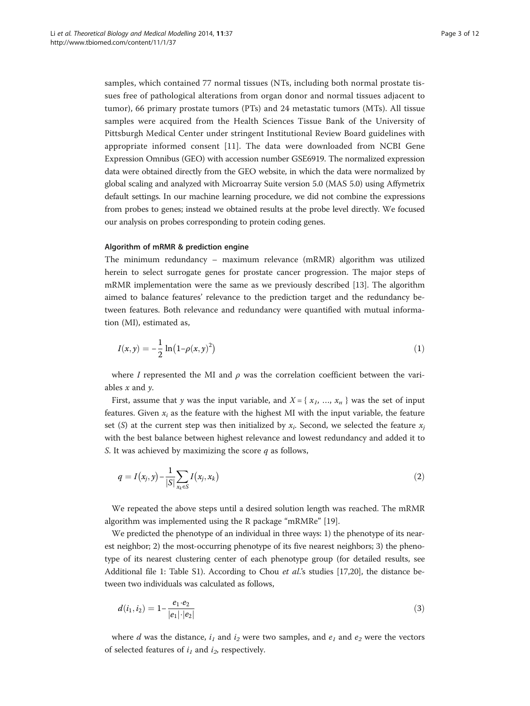samples, which contained 77 normal tissues (NTs, including both normal prostate tissues free of pathological alterations from organ donor and normal tissues adjacent to tumor), 66 primary prostate tumors (PTs) and 24 metastatic tumors (MTs). All tissue samples were acquired from the Health Sciences Tissue Bank of the University of Pittsburgh Medical Center under stringent Institutional Review Board guidelines with appropriate informed consent [\[11](#page-10-0)]. The data were downloaded from NCBI Gene Expression Omnibus (GEO) with accession number GSE6919. The normalized expression data were obtained directly from the GEO website, in which the data were normalized by global scaling and analyzed with Microarray Suite version 5.0 (MAS 5.0) using Affymetrix default settings. In our machine learning procedure, we did not combine the expressions from probes to genes; instead we obtained results at the probe level directly. We focused our analysis on probes corresponding to protein coding genes.

## Algorithm of mRMR & prediction engine

The minimum redundancy – maximum relevance (mRMR) algorithm was utilized herein to select surrogate genes for prostate cancer progression. The major steps of mRMR implementation were the same as we previously described [[13](#page-10-0)]. The algorithm aimed to balance features' relevance to the prediction target and the redundancy between features. Both relevance and redundancy were quantified with mutual information (MI), estimated as,

$$
I(x, y) = -\frac{1}{2} \ln(1 - \rho(x, y)^2)
$$
 (1)

where I represented the MI and  $\rho$  was the correlation coefficient between the variables  $x$  and  $y$ .

First, assume that y was the input variable, and  $X = \{x_1, ..., x_n\}$  was the set of input features. Given  $x_i$  as the feature with the highest MI with the input variable, the feature set (S) at the current step was then initialized by  $x_i$ . Second, we selected the feature  $x_i$ with the best balance between highest relevance and lowest redundancy and added it to S. It was achieved by maximizing the score  $q$  as follows,

$$
q = I(x_j, y) - \frac{1}{|S|} \sum_{x_k \in S} I(x_j, x_k)
$$
\n
$$
(2)
$$

We repeated the above steps until a desired solution length was reached. The mRMR algorithm was implemented using the R package "mRMRe" [[19\]](#page-10-0).

We predicted the phenotype of an individual in three ways: 1) the phenotype of its nearest neighbor; 2) the most-occurring phenotype of its five nearest neighbors; 3) the phenotype of its nearest clustering center of each phenotype group (for detailed results, see Additional file [1](#page-9-0): Table S1). According to Chou et al.'s studies [[17,20\]](#page-10-0), the distance between two individuals was calculated as follows,

$$
d(i_1, i_2) = 1 - \frac{e_1 \cdot e_2}{|e_1| \cdot |e_2|} \tag{3}
$$

where d was the distance,  $i_1$  and  $i_2$  were two samples, and  $e_1$  and  $e_2$  were the vectors of selected features of  $i_1$  and  $i_2$ , respectively.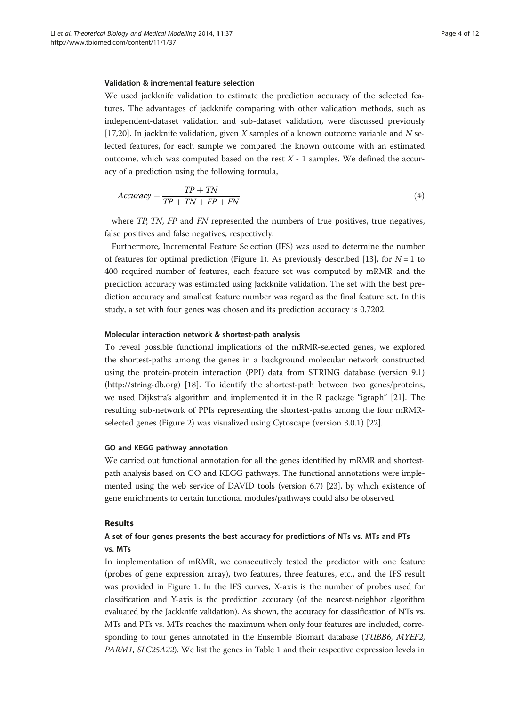## Validation & incremental feature selection

We used jackknife validation to estimate the prediction accuracy of the selected features. The advantages of jackknife comparing with other validation methods, such as independent-dataset validation and sub-dataset validation, were discussed previously [[17,20\]](#page-10-0). In jackknife validation, given X samples of a known outcome variable and N selected features, for each sample we compared the known outcome with an estimated outcome, which was computed based on the rest  $X - 1$  samples. We defined the accuracy of a prediction using the following formula,

$$
Accuracy = \frac{TP + TN}{TP + TN + FP + FN}
$$
\n<sup>(4)</sup>

where TP, TN, FP and FN represented the numbers of true positives, true negatives, false positives and false negatives, respectively.

Furthermore, Incremental Feature Selection (IFS) was used to determine the number of features for optimal prediction (Figure [1\)](#page-4-0). As previously described [\[13](#page-10-0)], for  $N=1$  to 400 required number of features, each feature set was computed by mRMR and the prediction accuracy was estimated using Jackknife validation. The set with the best prediction accuracy and smallest feature number was regard as the final feature set. In this study, a set with four genes was chosen and its prediction accuracy is 0.7202.

## Molecular interaction network & shortest-path analysis

To reveal possible functional implications of the mRMR-selected genes, we explored the shortest-paths among the genes in a background molecular network constructed using the protein-protein interaction (PPI) data from STRING database (version 9.1) ([http://string-db.org\)](http://string-db.org) [[18\]](#page-10-0). To identify the shortest-path between two genes/proteins, we used Dijkstra's algorithm and implemented it in the R package "igraph" [\[21](#page-10-0)]. The resulting sub-network of PPIs representing the shortest-paths among the four mRMRselected genes (Figure [2](#page-5-0)) was visualized using Cytoscape (version 3.0.1) [\[22\]](#page-10-0).

### GO and KEGG pathway annotation

We carried out functional annotation for all the genes identified by mRMR and shortestpath analysis based on GO and KEGG pathways. The functional annotations were implemented using the web service of DAVID tools (version 6.7) [\[23\]](#page-10-0), by which existence of gene enrichments to certain functional modules/pathways could also be observed.

#### Results

# A set of four genes presents the best accuracy for predictions of NTs vs. MTs and PTs vs. MTs

In implementation of mRMR, we consecutively tested the predictor with one feature (probes of gene expression array), two features, three features, etc., and the IFS result was provided in Figure [1.](#page-4-0) In the IFS curves, X-axis is the number of probes used for classification and Y-axis is the prediction accuracy (of the nearest-neighbor algorithm evaluated by the Jackknife validation). As shown, the accuracy for classification of NTs vs. MTs and PTs vs. MTs reaches the maximum when only four features are included, corresponding to four genes annotated in the Ensemble Biomart database (TUBB6, MYEF2, PARM1, SLC25A22). We list the genes in Table [1](#page-6-0) and their respective expression levels in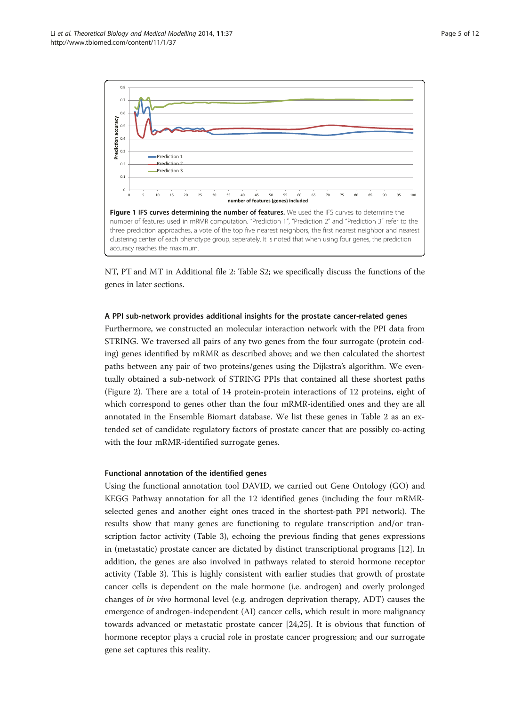<span id="page-4-0"></span>

NT, PT and MT in Additional file [2](#page-9-0): Table S2; we specifically discuss the functions of the genes in later sections.

## A PPI sub-network provides additional insights for the prostate cancer-related genes

Furthermore, we constructed an molecular interaction network with the PPI data from STRING. We traversed all pairs of any two genes from the four surrogate (protein coding) genes identified by mRMR as described above; and we then calculated the shortest paths between any pair of two proteins/genes using the Dijkstra's algorithm. We eventually obtained a sub-network of STRING PPIs that contained all these shortest paths (Figure [2](#page-5-0)). There are a total of 14 protein-protein interactions of 12 proteins, eight of which correspond to genes other than the four mRMR-identified ones and they are all annotated in the Ensemble Biomart database. We list these genes in Table [2](#page-6-0) as an extended set of candidate regulatory factors of prostate cancer that are possibly co-acting with the four mRMR-identified surrogate genes.

### Functional annotation of the identified genes

Using the functional annotation tool DAVID, we carried out Gene Ontology (GO) and KEGG Pathway annotation for all the 12 identified genes (including the four mRMRselected genes and another eight ones traced in the shortest-path PPI network). The results show that many genes are functioning to regulate transcription and/or transcription factor activity (Table [3\)](#page-7-0), echoing the previous finding that genes expressions in (metastatic) prostate cancer are dictated by distinct transcriptional programs [[12\]](#page-10-0). In addition, the genes are also involved in pathways related to steroid hormone receptor activity (Table [3](#page-7-0)). This is highly consistent with earlier studies that growth of prostate cancer cells is dependent on the male hormone (i.e. androgen) and overly prolonged changes of in vivo hormonal level (e.g. androgen deprivation therapy, ADT) causes the emergence of androgen-independent (AI) cancer cells, which result in more malignancy towards advanced or metastatic prostate cancer [[24](#page-10-0),[25](#page-10-0)]. It is obvious that function of hormone receptor plays a crucial role in prostate cancer progression; and our surrogate gene set captures this reality.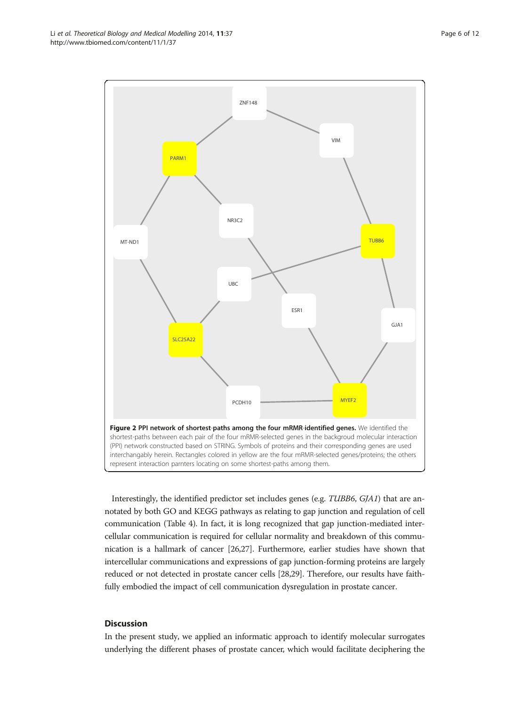<span id="page-5-0"></span>

Interestingly, the identified predictor set includes genes (e.g. TUBB6, GJA1) that are annotated by both GO and KEGG pathways as relating to gap junction and regulation of cell communication (Table [4\)](#page-7-0). In fact, it is long recognized that gap junction-mediated intercellular communication is required for cellular normality and breakdown of this communication is a hallmark of cancer [\[26,27](#page-10-0)]. Furthermore, earlier studies have shown that intercellular communications and expressions of gap junction-forming proteins are largely reduced or not detected in prostate cancer cells [\[28,29\]](#page-10-0). Therefore, our results have faithfully embodied the impact of cell communication dysregulation in prostate cancer.

# **Discussion**

In the present study, we applied an informatic approach to identify molecular surrogates underlying the different phases of prostate cancer, which would facilitate deciphering the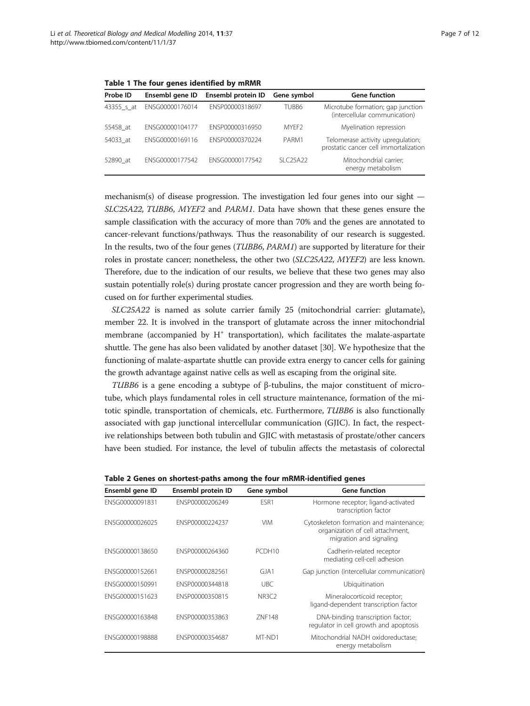<span id="page-6-0"></span>

| Probe ID   | Ensembl gene ID | Ensembl protein ID | Gene symbol       | <b>Gene function</b>                                                       |
|------------|-----------------|--------------------|-------------------|----------------------------------------------------------------------------|
| 43355 s at | ENSG00000176014 | ENSP00000318697    | TUBB6             | Microtube formation; gap junction<br>(intercellular communication)         |
| 55458 at   | FNSG00000104177 | ENSP00000316950    | MYFF <sub>2</sub> | Myelination repression                                                     |
| 54033 at   | ENSG00000169116 | FNSP00000370224    | PARM1             | Telomerase activity upregulation;<br>prostatic cancer cell immortalization |
| 52890 at   | FNSG00000177542 | FNSG00000177542    | SLC25A22          | Mitochondrial carrier;<br>energy metabolism                                |

mechanism(s) of disease progression. The investigation led four genes into our sight  $-$ SLC25A22, TUBB6, MYEF2 and PARM1. Data have shown that these genes ensure the sample classification with the accuracy of more than 70% and the genes are annotated to cancer-relevant functions/pathways. Thus the reasonability of our research is suggested. In the results, two of the four genes (TUBB6, PARM1) are supported by literature for their roles in prostate cancer; nonetheless, the other two (SLC25A22, MYEF2) are less known. Therefore, due to the indication of our results, we believe that these two genes may also sustain potentially role(s) during prostate cancer progression and they are worth being focused on for further experimental studies.

SLC25A22 is named as solute carrier family 25 (mitochondrial carrier: glutamate), member 22. It is involved in the transport of glutamate across the inner mitochondrial membrane (accompanied by  $H^+$  transportation), which facilitates the malate-aspartate shuttle. The gene has also been validated by another dataset [[30](#page-11-0)]. We hypothesize that the functioning of malate-aspartate shuttle can provide extra energy to cancer cells for gaining the growth advantage against native cells as well as escaping from the original site.

TUBB6 is a gene encoding a subtype of  $\beta$ -tubulins, the major constituent of microtube, which plays fundamental roles in cell structure maintenance, formation of the mitotic spindle, transportation of chemicals, etc. Furthermore, TUBB6 is also functionally associated with gap junctional intercellular communication (GJIC). In fact, the respective relationships between both tubulin and GJIC with metastasis of prostate/other cancers have been studied. For instance, the level of tubulin affects the metastasis of colorectal

| Table 2 Genes on shortest-paths among the four mRMR-identified genes |  |
|----------------------------------------------------------------------|--|
|----------------------------------------------------------------------|--|

| Ensembl gene ID | Ensembl protein ID | Gene symbol        | <b>Gene function</b>                                                                                   |
|-----------------|--------------------|--------------------|--------------------------------------------------------------------------------------------------------|
| FNSG00000091831 | ENSP00000206249    | FSR1               | Hormone receptor; ligand-activated<br>transcription factor                                             |
| FNSG00000026025 | FNSP00000224237    | <b>VIM</b>         | Cytoskeleton formation and maintenance;<br>organization of cell attachment,<br>migration and signaling |
| ENSG00000138650 | ENSP00000264360    | PCDH <sub>10</sub> | Cadherin-related receptor<br>mediating cell-cell adhesion                                              |
| FNSG00000152661 | ENSP00000282561    | GJA1               | Gap junction (intercellular communication)                                                             |
| ENSG00000150991 | ENSP00000344818    | <b>UBC</b>         | Ubiquitination                                                                                         |
| FNSG00000151623 | FNSP00000350815    | NR3C2              | Mineralocorticoid receptor;<br>ligand-dependent transcription factor                                   |
| ENSG00000163848 | ENSP00000353863    | <b>ZNF148</b>      | DNA-binding transcription factor;<br>regulator in cell growth and apoptosis                            |
| ENSG00000198888 | ENSP00000354687    | MT-ND1             | Mitochondrial NADH oxidoreductase:<br>energy metabolism                                                |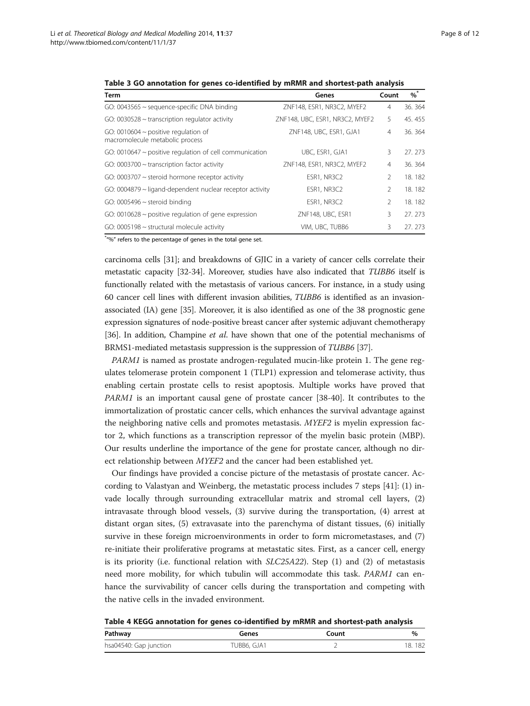| <b>Term</b>                                                                  | Genes                           | Count         | $9/0$  |
|------------------------------------------------------------------------------|---------------------------------|---------------|--------|
| GO: 0043565 ~ sequence-specific DNA binding                                  | ZNF148, ESR1, NR3C2, MYEF2      | 4             | 36.364 |
| GO: $0030528 \sim$ transcription regulator activity                          | ZNF148, UBC, ESR1, NR3C2, MYEF2 | 5             | 45.455 |
| GO: 0010604 $\sim$ positive regulation of<br>macromolecule metabolic process | ZNF148, UBC, ESR1, GJA1         | 4             | 36.364 |
| GO: 0010647 $\sim$ positive regulation of cell communication                 | UBC. ESR1. GJA1                 | 3             | 27.273 |
| $GO: 0003700 \sim$ transcription factor activity                             | ZNF148, ESR1, NR3C2, MYEF2      | 4             | 36.364 |
| GO: 0003707 $\sim$ steroid hormone receptor activity                         | ESR1, NR3C2                     | $\mathcal{P}$ | 18.182 |
| GO: 0004879 ~ ligand-dependent nuclear receptor activity                     | ESR1, NR3C2                     | $\mathcal{P}$ | 18.182 |
| $GO: 0005496 \sim$ steroid binding                                           | ESR1, NR3C2                     | $\mathcal{P}$ | 18.182 |
| GO: 0010628 $\sim$ positive regulation of gene expression                    | ZNF148, UBC, ESR1               | 3             | 27.273 |
| GO: $0005198 \sim$ structural molecule activity                              | VIM, UBC, TUBB6                 | 3             | 27.273 |

<span id="page-7-0"></span>Table 3 GO annotation for genes co-identified by mRMR and shortest-path analysis

\* "%" refers to the percentage of genes in the total gene set.

carcinoma cells [[31](#page-11-0)]; and breakdowns of GJIC in a variety of cancer cells correlate their metastatic capacity [\[32-34\]](#page-11-0). Moreover, studies have also indicated that TUBB6 itself is functionally related with the metastasis of various cancers. For instance, in a study using 60 cancer cell lines with different invasion abilities, TUBB6 is identified as an invasionassociated (IA) gene [\[35](#page-11-0)]. Moreover, it is also identified as one of the 38 prognostic gene expression signatures of node-positive breast cancer after systemic adjuvant chemotherapy [[36](#page-11-0)]. In addition, Champine et al. have shown that one of the potential mechanisms of BRMS1-mediated metastasis suppression is the suppression of TUBB6 [\[37\]](#page-11-0).

PARM1 is named as prostate androgen-regulated mucin-like protein 1. The gene regulates telomerase protein component 1 (TLP1) expression and telomerase activity, thus enabling certain prostate cells to resist apoptosis. Multiple works have proved that PARM1 is an important causal gene of prostate cancer [[38-40\]](#page-11-0). It contributes to the immortalization of prostatic cancer cells, which enhances the survival advantage against the neighboring native cells and promotes metastasis. MYEF2 is myelin expression factor 2, which functions as a transcription repressor of the myelin basic protein (MBP). Our results underline the importance of the gene for prostate cancer, although no direct relationship between MYEF2 and the cancer had been established yet.

Our findings have provided a concise picture of the metastasis of prostate cancer. According to Valastyan and Weinberg, the metastatic process includes 7 steps [[41](#page-11-0)]: (1) invade locally through surrounding extracellular matrix and stromal cell layers, (2) intravasate through blood vessels, (3) survive during the transportation, (4) arrest at distant organ sites, (5) extravasate into the parenchyma of distant tissues, (6) initially survive in these foreign microenvironments in order to form micrometastases, and (7) re-initiate their proliferative programs at metastatic sites. First, as a cancer cell, energy is its priority (i.e. functional relation with  $SLC25A22$ ). Step (1) and (2) of metastasis need more mobility, for which tubulin will accommodate this task. PARM1 can enhance the survivability of cancer cells during the transportation and competing with the native cells in the invaded environment.

Table 4 KEGG annotation for genes co-identified by mRMR and shortest-path analysis

| Pathway                | Genes       | Count | %      |
|------------------------|-------------|-------|--------|
| hsa04540: Gap junction | TUBB6, GJA1 |       | 18.182 |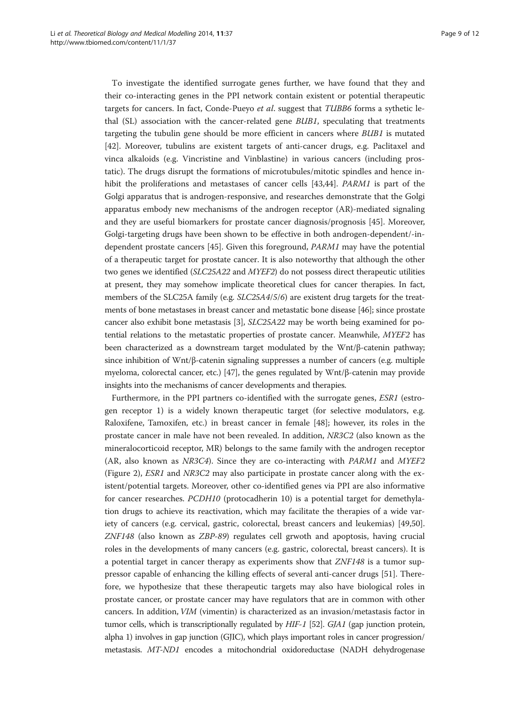To investigate the identified surrogate genes further, we have found that they and their co-interacting genes in the PPI network contain existent or potential therapeutic targets for cancers. In fact, Conde-Pueyo et al. suggest that TUBB6 forms a sythetic lethal (SL) association with the cancer-related gene BUB1, speculating that treatments targeting the tubulin gene should be more efficient in cancers where BUB1 is mutated [[42\]](#page-11-0). Moreover, tubulins are existent targets of anti-cancer drugs, e.g. Paclitaxel and vinca alkaloids (e.g. Vincristine and Vinblastine) in various cancers (including prostatic). The drugs disrupt the formations of microtubules/mitotic spindles and hence in-hibit the proliferations and metastases of cancer cells [\[43,44\]](#page-11-0). *PARM1* is part of the Golgi apparatus that is androgen-responsive, and researches demonstrate that the Golgi apparatus embody new mechanisms of the androgen receptor (AR)-mediated signaling and they are useful biomarkers for prostate cancer diagnosis/prognosis [[45\]](#page-11-0). Moreover, Golgi-targeting drugs have been shown to be effective in both androgen-dependent/-independent prostate cancers [[45\]](#page-11-0). Given this foreground, PARM1 may have the potential of a therapeutic target for prostate cancer. It is also noteworthy that although the other two genes we identified (SLC25A22 and MYEF2) do not possess direct therapeutic utilities at present, they may somehow implicate theoretical clues for cancer therapies. In fact, members of the SLC25A family (e.g. SLC25A4/5/6) are existent drug targets for the treatments of bone metastases in breast cancer and metastatic bone disease [\[46\]](#page-11-0); since prostate cancer also exhibit bone metastasis [[3](#page-10-0)], SLC25A22 may be worth being examined for potential relations to the metastatic properties of prostate cancer. Meanwhile, MYEF2 has been characterized as a downstream target modulated by the Wnt/β-catenin pathway; since inhibition of Wnt/β-catenin signaling suppresses a number of cancers (e.g. multiple myeloma, colorectal cancer, etc.) [[47](#page-11-0)], the genes regulated by Wnt/β-catenin may provide insights into the mechanisms of cancer developments and therapies.

Furthermore, in the PPI partners co-identified with the surrogate genes, ESR1 (estrogen receptor 1) is a widely known therapeutic target (for selective modulators, e.g. Raloxifene, Tamoxifen, etc.) in breast cancer in female [[48](#page-11-0)]; however, its roles in the prostate cancer in male have not been revealed. In addition, NR3C2 (also known as the mineralocorticoid receptor, MR) belongs to the same family with the androgen receptor (AR, also known as NR3C4). Since they are co-interacting with PARM1 and MYEF2 (Figure [2\)](#page-5-0), ESR1 and NR3C2 may also participate in prostate cancer along with the existent/potential targets. Moreover, other co-identified genes via PPI are also informative for cancer researches. PCDH10 (protocadherin 10) is a potential target for demethylation drugs to achieve its reactivation, which may facilitate the therapies of a wide variety of cancers (e.g. cervical, gastric, colorectal, breast cancers and leukemias) [[49](#page-11-0),[50](#page-11-0)]. ZNF148 (also known as ZBP-89) regulates cell grwoth and apoptosis, having crucial roles in the developments of many cancers (e.g. gastric, colorectal, breast cancers). It is a potential target in cancer therapy as experiments show that ZNF148 is a tumor suppressor capable of enhancing the killing effects of several anti-cancer drugs [[51\]](#page-11-0). Therefore, we hypothesize that these therapeutic targets may also have biological roles in prostate cancer, or prostate cancer may have regulators that are in common with other cancers. In addition, VIM (vimentin) is characterized as an invasion/metastasis factor in tumor cells, which is transcriptionally regulated by *HIF-1* [\[52\]](#page-11-0). GJA1 (gap junction protein, alpha 1) involves in gap junction (GJIC), which plays important roles in cancer progression/ metastasis. MT-ND1 encodes a mitochondrial oxidoreductase (NADH dehydrogenase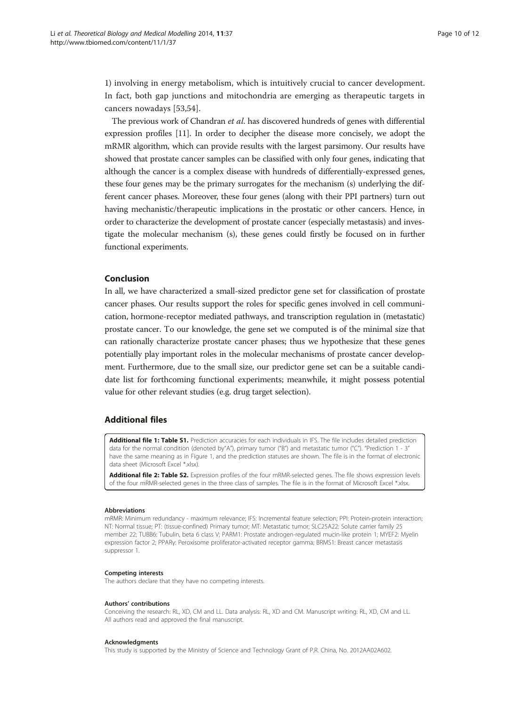<span id="page-9-0"></span>1) involving in energy metabolism, which is intuitively crucial to cancer development. In fact, both gap junctions and mitochondria are emerging as therapeutic targets in cancers nowadays [[53,54](#page-11-0)].

The previous work of Chandran et al. has discovered hundreds of genes with differential expression profiles [\[11\]](#page-10-0). In order to decipher the disease more concisely, we adopt the mRMR algorithm, which can provide results with the largest parsimony. Our results have showed that prostate cancer samples can be classified with only four genes, indicating that although the cancer is a complex disease with hundreds of differentially-expressed genes, these four genes may be the primary surrogates for the mechanism (s) underlying the different cancer phases. Moreover, these four genes (along with their PPI partners) turn out having mechanistic/therapeutic implications in the prostatic or other cancers. Hence, in order to characterize the development of prostate cancer (especially metastasis) and investigate the molecular mechanism (s), these genes could firstly be focused on in further functional experiments.

#### Conclusion

In all, we have characterized a small-sized predictor gene set for classification of prostate cancer phases. Our results support the roles for specific genes involved in cell communication, hormone-receptor mediated pathways, and transcription regulation in (metastatic) prostate cancer. To our knowledge, the gene set we computed is of the minimal size that can rationally characterize prostate cancer phases; thus we hypothesize that these genes potentially play important roles in the molecular mechanisms of prostate cancer development. Furthermore, due to the small size, our predictor gene set can be a suitable candidate list for forthcoming functional experiments; meanwhile, it might possess potential value for other relevant studies (e.g. drug target selection).

# Additional files

[Additional file 1: Table S1.](http://www.biomedcentral.com/content/supplementary/1742-4682-11-37-S1.xlsx) Prediction accuracies for each individuals in IFS. The file includes detailed prediction data for the normal condition (denoted by"A"), primary tumor ("B") and metastatic tumor ("C"). "Prediction 1 - 3" have the same meaning as in Figure [1](#page-4-0), and the prediction statuses are shown. The file is in the format of electronic data sheet (Microsoft Excel \*.xlsx).

[Additional file 2: Table S2.](http://www.biomedcentral.com/content/supplementary/1742-4682-11-37-S2.xlsx) Expression profiles of the four mRMR-selected genes. The file shows expression levels of the four mRMR-selected genes in the three class of samples. The file is in the format of Microsoft Excel \*.xlsx.

#### Abbreviations

mRMR: Minimum redundancy - maximum relevance; IFS: Incremental feature selection; PPI: Protein-protein interaction; NT: Normal tissue; PT: (tissue-confined) Primary tumor; MT: Metastatic tumor; SLC25A22: Solute carrier family 25 member 22; TUBB6: Tubulin, beta 6 class V; PARM1: Prostate androgen-regulated mucin-like protein 1; MYEF2: Myelin expression factor 2; PPARγ: Peroxisome proliferator-activated receptor gamma; BRMS1: Breast cancer metastasis suppressor 1.

#### Competing interests

The authors declare that they have no competing interests.

#### Authors' contributions

Conceiving the research: RL, XD, CM and LL. Data analysis: RL, XD and CM. Manuscript writing: RL, XD, CM and LL. All authors read and approved the final manuscript.

#### Acknowledgments

This study is supported by the Ministry of Science and Technology Grant of P.R. China, No. 2012AA02A602.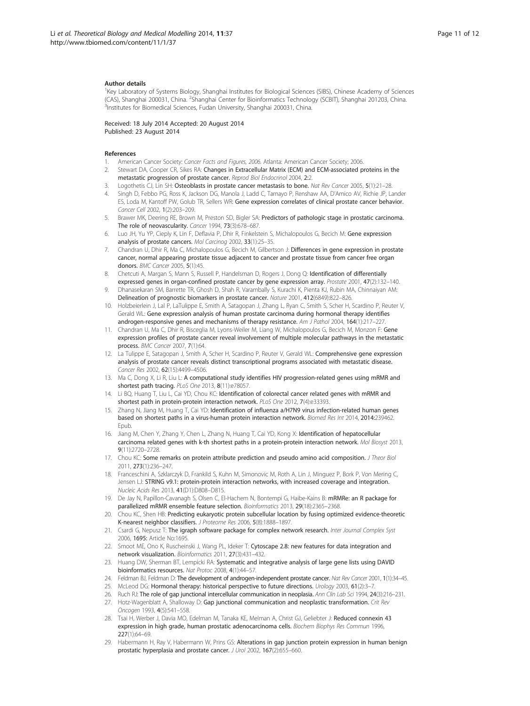#### <span id="page-10-0"></span>Author details

<sup>1</sup>Key Laboratory of Systems Biology, Shanghai Institutes for Biological Sciences (SIBS), Chinese Academy of Sciences (CAS), Shanghai 200031, China. <sup>2</sup>Shanghai Center for Bioinformatics Technology (SCBIT), Shanghai 201203, China.<br><sup>3</sup>Institutes for Biomedical Sciences, Eudan University, Shanghai 200031, China. <sup>3</sup>Institutes for Biomedical Sciences, Fudan University, Shanghai 200031, China.

Received: 18 July 2014 Accepted: 20 August 2014 Published: 23 August 2014

#### References

- American Cancer Society: Cancer Facts and Figures, 2006. Atlanta: American Cancer Society; 2006.
- 2. Stewart DA, Cooper CR, Sikes RA: Changes in Extracellular Matrix (ECM) and ECM-associated proteins in the metastatic progression of prostate cancer. Reprod Biol Endocrinol 2004, 2:2.
- Logothetis CJ, Lin SH: Osteoblasts in prostate cancer metastasis to bone. Nat Rev Cancer 2005, 5(1):21-28.
- 4. Singh D, Febbo PG, Ross K, Jackson DG, Manola J, Ladd C, Tamayo P, Renshaw AA, D'Amico AV, Richie JP, Lander ES, Loda M, Kantoff PW, Golub TR, Sellers WR: Gene expression correlates of clinical prostate cancer behavior. Cancer Cell 2002, 1(2):203–209.
- 5. Brawer MK, Deering RE, Brown M, Preston SD, Bigler SA: Predictors of pathologic stage in prostatic carcinoma. The role of neovascularity. Cancer 1994, 73(3):678–687.
- 6. Luo JH, Yu YP, Cieply K, Lin F, Deflavia P, Dhir R, Finkelstein S, Michalopoulos G, Becich M: Gene expression analysis of prostate cancers. Mol Carcinog 2002, 33(1):25–35.
- Chandran U, Dhir R, Ma C, Michalopoulos G, Becich M, Gilbertson J: Differences in gene expression in prostate cancer, normal appearing prostate tissue adjacent to cancer and prostate tissue from cancer free organ donors. BMC Cancer 2005, 5(1):45.
- 8. Chetcuti A, Margan S, Mann S, Russell P, Handelsman D, Rogers J, Dong Q: Identification of differentially expressed genes in organ-confined prostate cancer by gene expression array. Prostate 2001, 47(2):132-140.
- 9. Dhanasekaran SM, Barrette TR, Ghosh D, Shah R, Varambally S, Kurachi K, Pienta KJ, Rubin MA, Chinnaiyan AM: Delineation of prognostic biomarkers in prostate cancer. Nature 2001, 412(6849):822–826.
- 10. Holzbeierlein J, Lal P, LaTulippe E, Smith A, Satagopan J, Zhang L, Ryan C, Smith S, Scher H, Scardino P, Reuter V, Gerald WL: Gene expression analysis of human prostate carcinoma during hormonal therapy identifies androgen-responsive genes and mechanisms of therapy resistance. Am J Pathol 2004, 164(1):217-227.
- 11. Chandran U, Ma C, Dhir R, Bisceglia M, Lyons-Weiler M, Liang W, Michalopoulos G, Becich M, Monzon F: Gene expression profiles of prostate cancer reveal involvement of multiple molecular pathways in the metastatic process. BMC Cancer 2007, 7(1):64.
- 12. La Tulippe E, Satagopan J, Smith A, Scher H, Scardino P, Reuter V, Gerald WL: Comprehensive gene expression analysis of prostate cancer reveals distinct transcriptional programs associated with metastatic disease. Cancer Res 2002, 62(15):4499–4506.
- 13. Ma C, Dong X, Li R, Liu L: A computational study identifies HIV progression-related genes using mRMR and shortest path tracing. PLoS One 2013, 8(11):e78057
- 14. Li BQ, Huang T, Liu L, Cai YD, Chou KC: Identification of colorectal cancer related genes with mRMR and shortest path in protein-protein interaction network. PLoS One 2012, 7(4):e33393.
- 15. Zhang N, Jiang M, Huang T, Cai YD: Identification of influenza a/H7N9 virus infection-related human genes based on shortest paths in a virus-human protein interaction network. Biomed Res Int 2014, 2014:239462. Epub.
- 16. Jiang M, Chen Y, Zhang Y, Chen L, Zhang N, Huang T, Cai YD, Kong X: Identification of hepatocellular carcinoma related genes with k-th shortest paths in a protein-protein interaction network. Mol Biosyst 2013, 9(11):2720–2728.
- 17. Chou KC: Some remarks on protein attribute prediction and pseudo amino acid composition. J Theor Biol 2011, 273(1):236–247.
- 18. Franceschini A, Szklarczyk D, Frankild S, Kuhn M, Simonovic M, Roth A, Lin J, Minguez P, Bork P, Von Mering C, Jensen LJ: STRING v9.1: protein-protein interaction networks, with increased coverage and integration. Nucleic Acids Res 2013, 41(D1):D808–D815.
- 19. De Jay N, Papillon-Cavanagh S, Olsen C, El-Hachem N, Bontempi G, Haibe-Kains B: mRMRe: an R package for parallelized mRMR ensemble feature selection. Bioinformatics 2013, 29(18):2365–2368.
- 20. Chou KC, Shen HB: Predicting eukaryotic protein subcellular location by fusing optimized evidence-theoretic K-nearest neighbor classifiers. J Proteome Res 2006, 5(8):1888–1897.
- 21. Csardi G, Nepusz T: The igraph software package for complex network research. Inter Journal Complex Syst 2006, 1695: Article No:1695.
- 22. Smoot ME, Ono K, Ruscheinski J, Wang PL, Ideker T: Cytoscape 2.8: new features for data integration and network visualization. Bioinformatics 2011, 27(3):431–432.
- 23. Huang DW, Sherman BT, Lempicki RA: Systematic and integrative analysis of large gene lists using DAVID bioinformatics resources. Nat Protoc 2008, 4(1):44–57.
- 24. Feldman BJ, Feldman D: The development of androgen-independent prostate cancer. Nat Rev Cancer 2001, 1(1):34-45.
- 25. McLeod DG: Hormonal therapy: historical perspective to future directions. *Urology* 2003, 61(2):3-7
- 26. Ruch RJ: The role of gap junctional intercellular communication in neoplasia. Ann Clin Lab Sci 1994, 24(3):216–231.
- 27. Hotz-Wagenblatt A, Shalloway D: Gap junctional communication and neoplastic transformation. Crit Rev Oncogen 1993, 4(5):541–558.
- 28. Tsai H, Werber J, Davia MO, Edelman M, Tanaka KE, Melman A, Christ GJ, Geliebter J: Reduced connexin 43 expression in high grade, human prostatic adenocarcinoma cells. Biochem Biophys Res Commun 1996, 227(1):64–69.
- 29. Habermann H, Ray V, Habermann W, Prins GS: Alterations in gap junction protein expression in human benign prostatic hyperplasia and prostate cancer. J Urol 2002, 167(2):655–660.